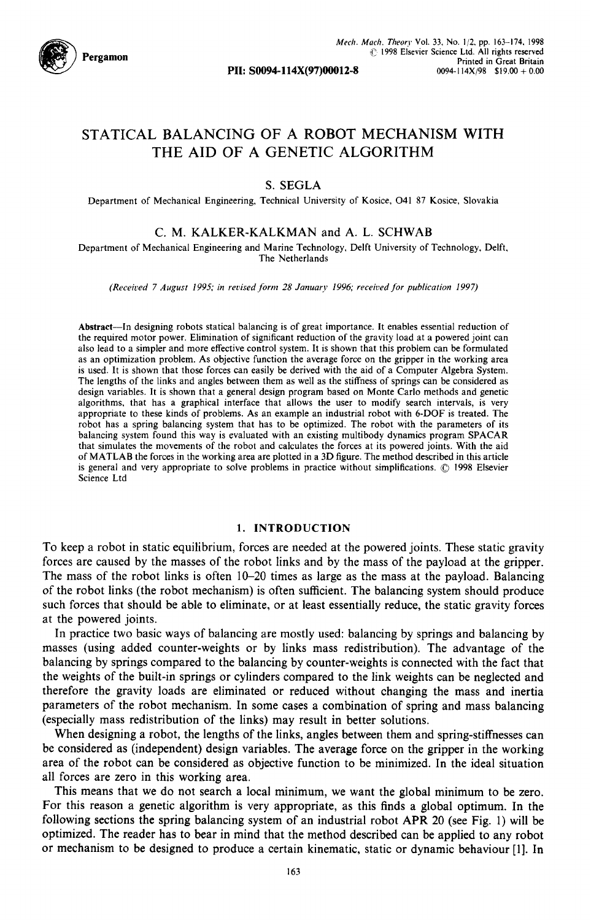

# STATICAL BALANCING OF A ROBOT MECHANISM WITH THE AID OF A GENETIC ALGORITHM

## S. SEGLA

Department of Mechanical Engineering, Technical University of Kosice, O41 87 Kosice, Slovakia

## C. M. KALKER-KALKMAN and A. L. SCHWAB

Department of Mechanical Engineering and Marine Technology, Delft University of Technology, Delft, The Netherlands

*(Received 7 August 1995; in revised form 28 January 1996; received for publication 1997)* 

Abstract--ln designing robots statical balancing is of great importance. It enables essential reduction of the required motor power. Elimination of significant reduction of the gravity load at a powered joint can also lead to a simpler and more effective control system. It is shown that this problem can be formulated as an optimization problem. As objective function the average force on the gripper in the working area is used. It is shown that those forces can easily be derived with the aid of a Computer Algebra System. The lengths of the links and angles between them as well as the stiffness of springs can be considered as design variables. It is shown that a general design program based on Monte Carlo methods and genetic algorithms, that has a graphical interface that allows the user to modify search intervals, is very appropriate to these kinds of problems. As an example an industrial robot with 6-DOF is treated. The robot has a spring balancing system that has to be optimized. The robot with the parameters of its balancing system found this way is evaluated with an existing multibody dynamics program SPACAR that simulates the movements of the robot and calculates the forces at its powered joints. With the aid of MATLAB the forces in the working area are plotted in a 3D figure. The method described in this article is general and very appropriate to solve problems in practice without simplifications. © 1998 Elsevier Science Ltd

#### 1. INTRODUCTION

To keep a robot in static equilibrium, forces are needed at the powered joints. These static gravity forces are caused by the masses of the robot links and by the mass of the payload at the gripper. The mass of the robot links is often 10-20 times as large as the mass at the payload. Balancing of the robot links (the robot mechanism) is often sufficient. The balancing system should produce such forces that should be able to eliminate, or at least essentially reduce, the static gravity forces at the powered joints.

In practice two basic ways of balancing are mostly used: balancing by springs and balancing by masses (using added counter-weights or by links mass redistribution). The advantage of the balancing by springs compared to the balancing by counter-weights is connected with the fact that the weights of the built-in springs or cylinders compared to the link weights can be neglected and therefore the gravity loads are eliminated or reduced without changing the mass and inertia parameters of the robot mechanism. In some cases a combination of spring and mass balancing (especially mass redistribution of the links) may result in better solutions.

When designing a robot, the lengths of the links, angles between them and spring-stiffnesses can be considered as (independent) design variables. The average force on the gripper in the working area of the robot can be considered as objective function to be minimized. In the ideal situation all forces are zero in this working area.

This means that we do not search a local minimum, we want the global minimum to be zero. For this reason a genetic algorithm is very appropriate, as this finds a global optimum. In the following sections the spring balancing system of an industrial robot APR 20 (see Fig. 1) will be optimized. The reader has to bear in mind that the method described can be applied to any robot or mechanism to be designed to produce a certain kinematic, static or dynamic behaviour [1]. In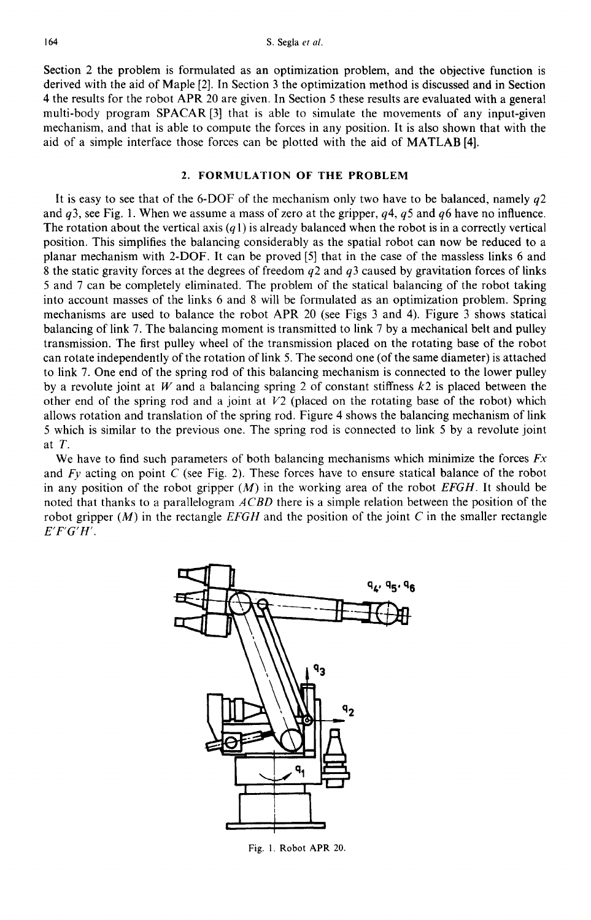Section 2 the problem is formulated as an optimization problem, and the objective function is derived with the aid of Maple [2]. In Section 3 the optimization method is discussed and in Section 4 the results for the robot APR 20 are given. In Section 5 these results are evaluated with a general multi-body program SPACAR [3] that is able to simulate the movements of any input-given mechanism, and that is able to compute the forces in any position. It is also shown that with the aid of a simple interface those forces can be plotted with the aid of MATLAB [4].

## **2. FORMULATION OF THE PROBLEM**

It is easy to see that of the 6-DOF of the mechanism only two have to be balanced, namely  $q2$ and  $q3$ , see Fig. 1. When we assume a mass of zero at the gripper,  $q4$ ,  $q5$  and  $q6$  have no influence. The rotation about the vertical axis  $(q_1)$  is already balanced when the robot is in a correctly vertical position. This simplifies the balancing considerably as the spatial robot can now be reduced to a planar mechanism with 2-DOF. It can be proved [5] that in the case of the massless links 6 and 8 the static gravity forces at the degrees of freedom  $q2$  and  $q3$  caused by gravitation forces of links 5 and 7 can be completely eliminated. The problem of the statical balancing of the robot taking into account masses of the links 6 and 8 will be formulated as an optimization problem. Spring mechanisms are used to balance the robot APR 20 (see Figs 3 and 4). Figure 3 shows statical balancing of link 7. The balancing moment is transmitted to link 7 by a mechanical belt and pulley transmission. The first pulley wheel of the transmission placed on the rotating base of the robot can rotate independently of the rotation of link 5. The second one (of the same diameter) is attached to link 7. One end of the spring rod of this balancing mechanism is connected to the lower pulley by a revolute joint at W and a balancing spring 2 of constant stiffness  $k2$  is placed between the other end of the spring rod and a joint at  $V2$  (placed on the rotating base of the robot) which allows rotation and translation of the spring rod. Figure 4 shows the balancing mechanism of link 5 which is similar to the previous one. The spring rod is connected to link 5 by a revolute joint at T.

We have to find such parameters of both balancing mechanisms which minimize the forces *Fx*  and  $F_y$  acting on point C (see Fig. 2). These forces have to ensure statical balance of the robot in any position of the robot gripper (M) in the working area of the robot *EFGH.* It should be noted that thanks to a parallelogram *A CBD* there is a simple relation between the position of the robot gripper  $(M)$  in the rectangle *EFGH* and the position of the joint C in the smaller rectangle *E'F'G'H'.* 



Fig. 1. Robot APR 20.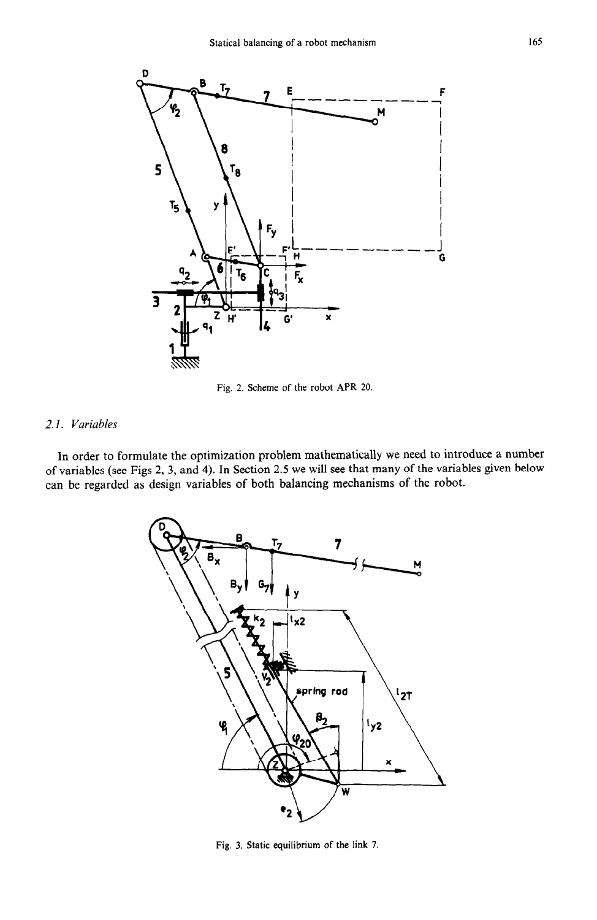

Fig. 2. Scheme of the robot APR 20.

## *2.1. Variables*

In order to formulate the optimization problem mathematically we need to introduce a number of variables (see Figs 2, 3, and 4). In Section 2.5 we will see that many of the variables given below can be regarded as design variables of both balancing mechanisms of the robot.



Fig. 3. Static equilibrium of the link 7.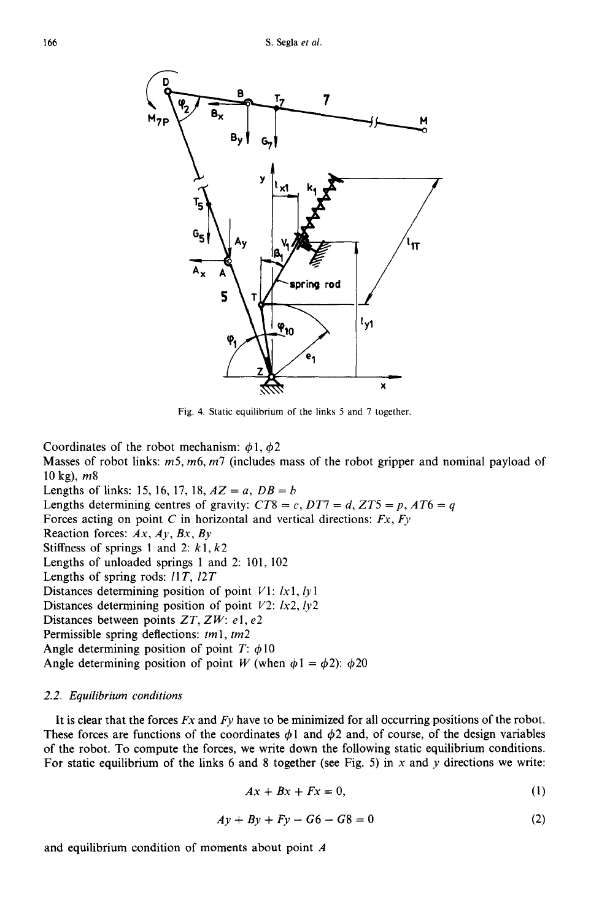

Fig. 4. Static equilibrium of the links 5 and 7 together.

Coordinates of the robot mechanism:  $\phi$ 1,  $\phi$ 2

Masses of robot links:  $m5$ ,  $m6$ ,  $m7$  (includes mass of the robot gripper and nominal payload of 10 kg),  $m8$ 

Lengths of links: 15, 16, 17, 18,  $AZ = a$ ,  $DB = b$ Lengths determining centres of gravity:  $CT8 = c$ ,  $DT7 = d$ ,  $ZT5 = p$ ,  $AT6 = q$ Forces acting on point C in horizontal and vertical directions: *Fx, Fy*  Reaction forces: *Ax, Ay, Bx, By*  Stiffness of springs 1 and 2:  $k1, k2$ Lengths of unloaded springs 1 and 2:101, 102 Lengths of spring rods: ll T, *12T*  Distances determining position of point V1: *Ix* 1, *ly 1*  Distances determining position of point V2: *lx2, ly2*  Distances between points *ZT, ZW: e 1, e2*  Permissible spring deflections: *tm 1, tm2*  Angle determining position of point  $T: \phi 10$ Angle determining position of point W (when  $\phi$ 1 =  $\phi$ 2):  $\phi$ 20

#### *2.2. Equilibrium conditions*

It is clear that the forces Fx and *Fy* have to be minimized for all occurring positions of the robot. These forces are functions of the coordinates  $\phi$ 1 and  $\phi$ 2 and, of course, of the design variables of the robot. To compute the forces, we write down the following static equilibrium conditions. For static equilibrium of the links 6 and 8 together (see Fig. 5) in x and y directions we write:

$$
Ax + Bx + Fx = 0,\t\t(1)
$$

$$
Ay + By + Fy - G6 - G8 = 0 \tag{2}
$$

and equilibrium condition of moments about point A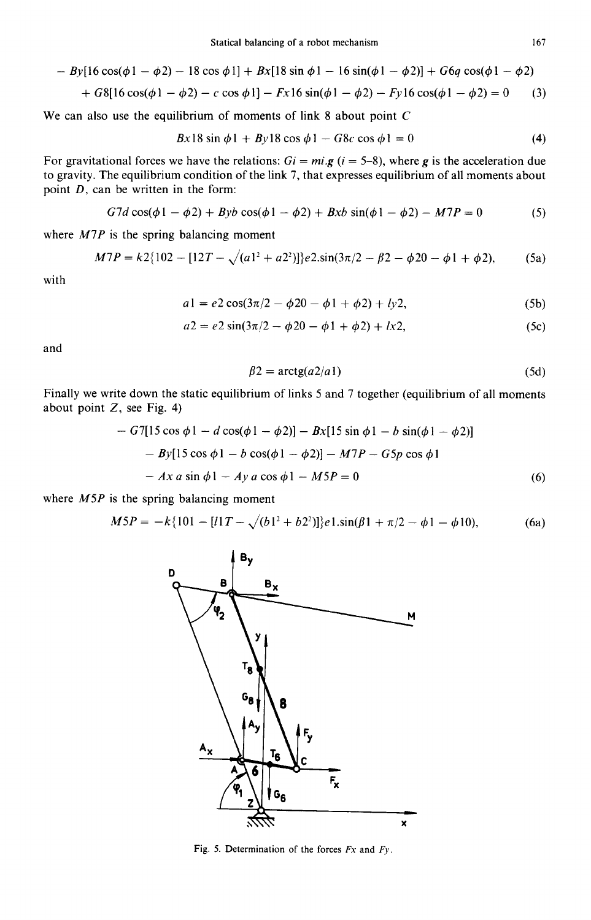$$
- By[16 cos(\phi 1 - \phi 2) - 18 cos \phi 1] + Bx[18 sin \phi 1 - 16 sin(\phi 1 - \phi 2)] + G6q cos(\phi 1 - \phi 2)
$$

+ 
$$
G8[16\cos(\phi 1 - \phi 2) - c\cos \phi 1] - Fx 16\sin(\phi 1 - \phi 2) - Fy 16\cos(\phi 1 - \phi 2) = 0
$$
 (3)

We can also use the equilibrium of moments of link 8 about point C

$$
Bx18\sin\phi 1 + By18\cos\phi 1 - G8c\cos\phi 1 = 0\tag{4}
$$

For gravitational forces we have the relations:  $Gi = mi.g$  ( $i = 5-8$ ), where g is the acceleration due to gravity. The equilibrium condition of the link 7, that expresses equilibrium of all moments about point  $D$ , can be written in the form:

$$
G7d\cos(\phi 1 - \phi 2) + Byb\cos(\phi 1 - \phi 2) + Bxb\sin(\phi 1 - \phi 2) - M7P = 0
$$
 (5)

where *M7P* is the spring balancing moment

$$
M7P = k2\{102 - [12T - \sqrt{(a1^2 + a2^2)}]\}e2.\sin(3\pi/2 - \beta 2 - \phi 20 - \phi 1 + \phi 2),\tag{5a}
$$

with

$$
a1 = e2\cos(3\pi/2 - \phi 20 - \phi 1 + \phi 2) + ly2,
$$
 (5b)

$$
a2 = e2\sin(3\pi/2 - \phi 20 - \phi 1 + \phi 2) + lx2,
$$
 (5c)

and

$$
\beta 2 = \arctg(a2/a1) \tag{5d}
$$

Finally we write down the static equilibrium of links 5 and 7 together (equilibrium of all moments about point  $Z$ , see Fig. 4)

$$
- G7[15 \cos \phi 1 - d \cos(\phi 1 - \phi 2)] - Bx[15 \sin \phi 1 - b \sin(\phi 1 - \phi 2)]
$$
  

$$
- By[15 \cos \phi 1 - b \cos(\phi 1 - \phi 2)] - M7P - G5p \cos \phi 1
$$
  

$$
- Ax a \sin \phi 1 - Ay a \cos \phi 1 - M5P = 0
$$
 (6)

**Service** State

where *M5P* is the spring balancing moment

$$
M5P = -k\{101 - [l1T - \sqrt{(b1^2 + b2^2)}\}e1.\sin(\beta 1 + \pi/2 - \phi 1 - \phi 10),\tag{6a}
$$



Fig. 5. Determination of the forces  $Fx$  and  $Fy$ .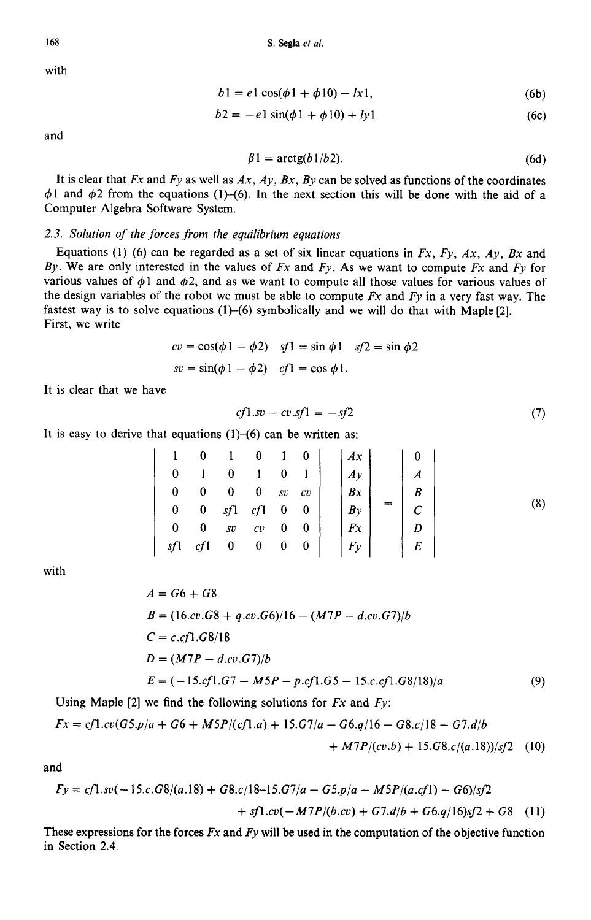with

$$
b1 = e1 \cos(\phi 1 + \phi 10) - lx1,
$$
 (6b)

$$
b2 = -e1\sin(\phi 1 + \phi 10) + ly1
$$
 (6c)

and

$$
\beta 1 = \arctg(b1/b2). \tag{6d}
$$

It is clear that *Fx* and *Fy* as well as *Ax, Ay, Bx, By* can be solved as functions of the coordinates  $\phi$ 1 and  $\phi$ 2 from the equations (1)-(6). In the next section this will be done with the aid of a Computer Algebra Software System.

### *2.3. Solution of the forces from the equilibrium equations*

Equations (1)–(6) can be regarded as a set of six linear equations in  $Fx$ ,  $Fy$ ,  $Ax$ ,  $Ay$ ,  $Bx$  and *By.* We are only interested in the values of *Fx* and *Fy.* As we want to compute *Fx* and *Fy* for various values of  $\phi$ 1 and  $\phi$ 2, and as we want to compute all those values for various values of the design variables of the robot we must be able to compute *Fx* and *Fy* in a very fast way. The fastest way is to solve equations  $(1)$ – $(6)$  symbolically and we will do that with Maple [2]. First, we write

$$
cv = \cos(\phi 1 - \phi 2) \quad sf1 = \sin \phi 1 \quad sf2 = \sin \phi 2
$$

$$
sv = \sin(\phi 1 - \phi 2) \quad cf1 = \cos \phi 1.
$$

It is clear that we have

$$
cf1.sv - cv.sf1 = -sf2
$$
\n<sup>(7)</sup>

It is easy to derive that equations (1)-(6) can be written as:

$$
\begin{bmatrix}\n1 & 0 & 1 & 0 & 1 & 0 \\
0 & 1 & 0 & 1 & 0 & 1 \\
0 & 0 & 0 & 0 & sv & cv \\
0 & 0 & sy & 1 & cf & 0 & 0 \\
0 & 0 & sv & cv & 0 & 0 \\
s f & cf & 0 & 0 & 0 & 0\n\end{bmatrix}\n\begin{bmatrix}\nAx \\
Ay \\
By \\
Bx \\
By \\
Fx \\
Fy\n\end{bmatrix}\n=\n\begin{bmatrix}\n0 \\
A \\
B \\
B \\
C \\
D \\
E\n\end{bmatrix}
$$
\n(8)

with

$$
A = G6 + G8
$$
  
\n
$$
B = (16.cv.G8 + q.cv.G6)/16 - (M7P - d.cv.G7)/b
$$
  
\n
$$
C = c.cf1.G8/18
$$
  
\n
$$
D = (M7P - d.cv.G7)/b
$$
  
\n
$$
E = (-15.cf1.G7 - M5P - p.cf1.G5 - 15.c.cf1.G8/18)/a
$$
 (9)

Using Maple [2] we find the following solutions for *Fx* and *Fy:* 

$$
Fx = cf1.cv(G5.p/a + G6 + M5P/(cf1.a) + 15.G7/a - G6.q/16 - G8.c/18 - G7.d/b
$$
  
+ M7P/(cv.b) + 15.G8.c/(a.18))/sf2 (10)

and

$$
Fy = cf1 \cdot sv(-15.c.G8/(a.18) + G8.c/18-15.G7/a - G5.p/a - M5P/(a.cf1) - G6)/sf2
$$
  
+ 
$$
sf1 \cdot cv(-M7P/(b.cv) + G7.d/b + G6.q/16)sf2 + G8
$$
 (11)

**These** expressions for the forces *Fx* and *Fy* will be used in the computation of the objective function in Section 2.4.

168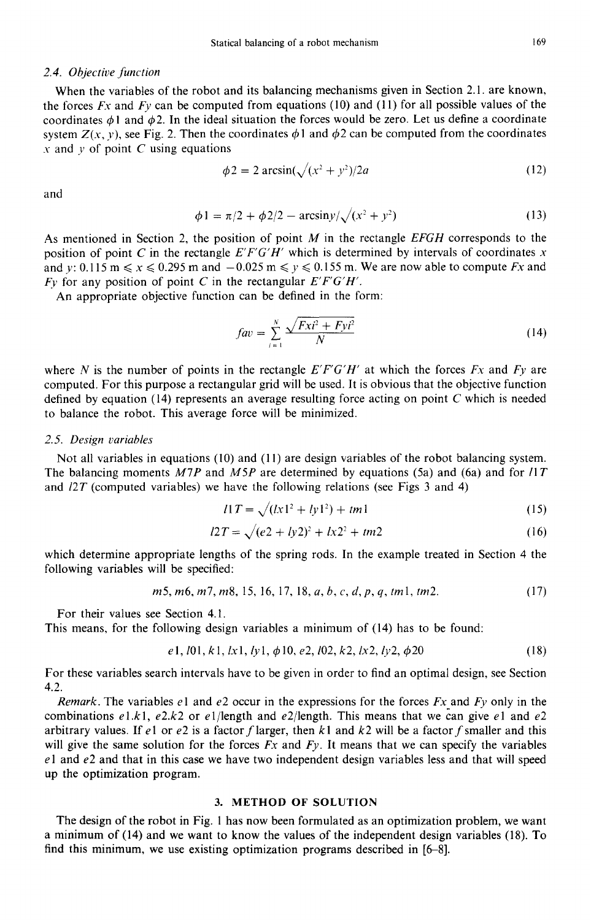## *2.4. Objective function*

When the variables of the robot and its balancing mechanisms given in Section 2.1. are known, the forces Fx and *Fy* can be computed from equations (10) and (11) for all possible values of the coordinates  $\phi$  I and  $\phi$ 2. In the ideal situation the forces would be zero. Let us define a coordinate system  $Z(x, y)$ , see Fig. 2. Then the coordinates  $\phi$ 1 and  $\phi$ 2 can be computed from the coordinates  $x$  and  $y$  of point  $C$  using equations

$$
\phi_2 = 2 \arcsin(\sqrt{(x^2 + y^2)/2a}) \tag{12}
$$

and

$$
\phi 1 = \pi/2 + \phi 2/2 - \arcsin y / \sqrt{(x^2 + y^2)}
$$
 (13)

As mentioned in Section 2, the position of point M in the rectangle *EFGH* corresponds to the position of point C in the rectangle  $E'F'G'H'$  which is determined by intervals of coordinates x and y:  $0.115 \text{ m} \le x \le 0.295 \text{ m}$  and  $-0.025 \text{ m} \le y \le 0.155 \text{ m}$ . We are now able to compute *Fx* and Fy for any position of point C in the rectangular *E'F'G'H'.* 

An appropriate objective function can be defined in the form:

$$
fav = \sum_{i=1}^{N} \frac{\sqrt{Fxi^2 + Fyi^2}}{N}
$$
 (14)

where N is the number of points in the rectangle  $E'F'G'H'$  at which the forces  $Fx$  and  $Fy$  are computed. For this purpose a rectangular grid will be used. It is obvious that the objective function defined by equation (14) represents an average resulting force acting on point C which is needed to balance the robot. This average force will be minimized.

### *2.5. Design variables*

Not all variables in equations (10) and (11) are design variables of the robot balancing system. The balancing moments *M7P* and *M5P* are determined by equations (5a) and (6a) and for *l1T* and *12T* (computed variables) we have the following relations (see Figs 3 and 4)

$$
l1T = \sqrt{(lx1^2 + ly1^2) + tm1}
$$
 (15)

$$
l2T = \sqrt{(e^2 + ly^2)^2 + lx^2 + tm^2}
$$
 (16)

which determine appropriate lengths of the spring rods. In the example treated in Section 4 the following variables will be specified:

$$
m5, m6, m7, m8, 15, 16, 17, 18, a, b, c, d, p, q, tm1, tm2.
$$
 (17)

For their values see Section 4.1.

This means, for the following design variables a minimum of (14) has to be found:

$$
e1, l01, k1, lx1, ly1, \phi 10, e2, l02, k2, lx2, ly2, \phi 20 \tag{18}
$$

For these variables search intervals have to be given in order to find an optimal design, see Section 4.2.

*Remark.* The variables e1 and e2 occur in the expressions for the forces *Fx* and *Fy* only in the combinations  $e1.k1$ ,  $e2.k2$  or  $e1/length$  and  $e2/length$ . This means that we can give  $e1$  and  $e2$ arbitrary values. If e1 or e2 is a factor f larger, then k1 and k2 will be a factor f smaller and this will give the same solution for the forces *Fx* and *Fy.* It means that we can specify the variables  $e1$  and  $e2$  and that in this case we have two independent design variables less and that will speed up the optimization program.

## **3. METHOD OF SOLUTION**

**The design of the robot in Fig. 1 has now been formulated as an optimization problem, we want a minimum of (14) and we want to know the values of the independent design variables (18). To find this minimum, we use existing optimization programs described in [6-8].**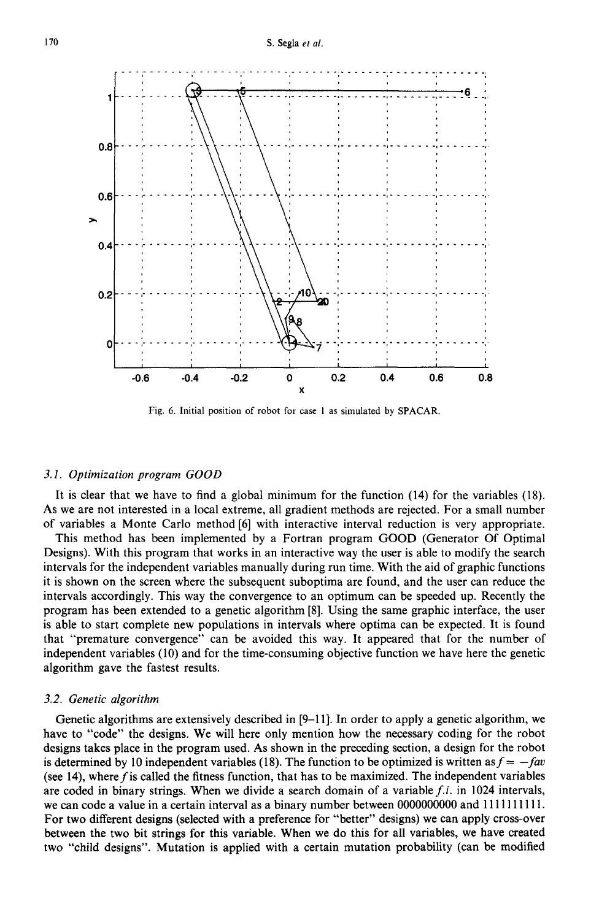

Fig. 6. Initial position of robot for case 1 as simulated by SPACAR.

#### *3. I. Optimization program GOOD*

It is clear that we have to find a global minimum for the function (14) for the variables (18). As we are not interested in a local extreme, all gradient methods are rejected. For a small number of variables a Monte Carlo method [6] with interactive interval reduction is very appropriate.

This method has been implemented by a Fortran program GOOD (Generator Of Optimal Designs). With this program that works in an interactive way the user is able to modify the search intervals for the independent variables manually during run time. With the aid of graphic functions it is shown on the screen where the subsequent suboptima are found, and the user can reduce the intervals accordingly. This way the convergence to an optimum can be speeded up. Recently the program has been extended to a genetic algorithm [8]. Using the same graphic interface, the user is able to start complete new populations in intervals where optima can be expected. It is found that "premature convergence" can be avoided this way. It appeared that for the number of independent variables (10) and for the time-consuming objective function we have here the genetic algorithm gave the fastest results.

#### *3.2. Genetic algorithm*

Genetic algorithms are extensively described in [9-11]. In order to apply a genetic algorithm, we have to "code" the designs. We will here only mention how the necessary coding for the robot designs takes place in the program used. As shown in the preceding section, a design for the robot is determined by 10 independent variables (18). The function to be optimized is written as  $f = -fav$ (see 14), where  $f$  is called the fitness function, that has to be maximized. The independent variables are coded in binary strings. When we divide a search domain of a variable *f.i.* in 1024 intervals, we can code a value in a certain interval as a binary number between 0000000000 and 1111111111. For two different designs (selected with a preference for "better" designs) we can apply cross-over between the two bit strings for this variable. When we do this for all variables, we have created two "child designs". Mutation is applied with a certain mutation probability (can be modified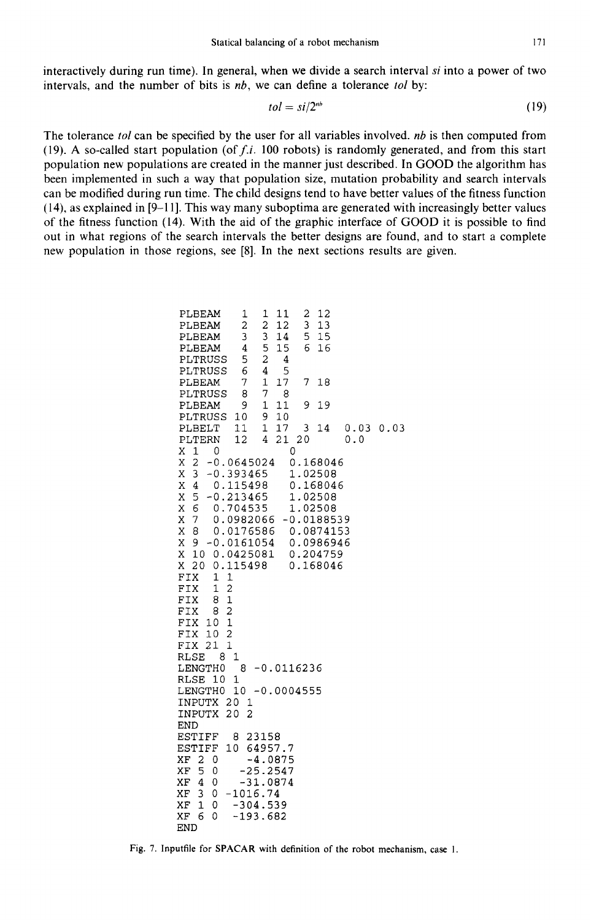interactively during run time). In general, when we divide a search interval *si* into a power of two intervals, and the number of bits is *nb,* we can define a tolerance *tol* by:

$$
tol = si/2nb
$$
 (19)

The tolerance *tol* can be specified by the user for all variables involved, *nb* is then computed from (19). A so-called start population (of  $f.i.$  100 robots) is randomly generated, and from this start population new populations are created in the manner just described. In GOOD the algorithm has been implemented in such a way that population size, mutation probability and search intervals can be modified during run time. The child designs tend to have better values of the fitness function (14), as explained in [9-11]. This way many suboptima are generated with increasingly better values of the fitness function (14). With the aid of the graphic interface of GOOD it is possible to find out in what regions of the search intervals the better designs are found, and to start a complete new population in those regions, see [8]. In the next sections results are given.

| PLBEAM<br>PLBEAM                   | T<br>$\overline{a}$            |                  | ļ                            | 11<br>12 |   |    | 2<br>3 |    | 12<br>13     |     |  |  |           |  |
|------------------------------------|--------------------------------|------------------|------------------------------|----------|---|----|--------|----|--------------|-----|--|--|-----------|--|
| PLBEAM                             | 3                              |                  | $\overline{\mathbf{c}}$<br>3 | 14       |   |    | 5      |    | 15           |     |  |  |           |  |
| PLBEAM                             | 4                              |                  | $\overline{5}$               | 15       |   |    | 6      |    | 16           |     |  |  |           |  |
| PLTRUSS                            | 5                              |                  | $\overline{a}$               |          | 4 |    |        |    |              |     |  |  |           |  |
| PLTRUSS                            | 6                              |                  | 4                            |          | 5 |    |        |    |              |     |  |  |           |  |
| PLBEAM                             | 7                              |                  | 1                            | 17       |   |    | 7      |    | 18           |     |  |  |           |  |
| PLTRUSS                            | 8                              |                  | 7                            |          | 8 |    |        |    |              |     |  |  |           |  |
| PLBEAM                             | 9                              |                  | $\mathbf{1}$                 | 11       |   |    | 9      | 19 |              |     |  |  |           |  |
| PLTRUSS                            | 10                             |                  | 9                            | 10       |   |    |        |    |              |     |  |  |           |  |
| PLBELT                             | 11                             |                  | 1                            | 17       |   |    | 3      |    | 14           |     |  |  | 0.03 0.03 |  |
| PLTERN                             | 12                             |                  | 4                            | 21       |   | 20 |        |    |              | 0.0 |  |  |           |  |
| $\mathbf{1}$<br>X<br>0             |                                |                  |                              |          | 0 |    |        |    |              |     |  |  |           |  |
| $\overline{a}$<br>Χ                | $-0.0645024$                   |                  |                              |          |   |    |        |    | 0.168046     |     |  |  |           |  |
| Χ<br>3                             | $-0.393465$                    |                  |                              |          |   |    |        |    | 1.02508      |     |  |  |           |  |
| Χ<br>4                             | 0.115498                       |                  |                              |          |   |    |        |    | 0.168046     |     |  |  |           |  |
| Χ<br>5                             | $-0.213465$                    |                  |                              |          |   |    |        |    | 1.02508      |     |  |  |           |  |
| Χ<br>6                             | 0.704535                       |                  |                              |          |   |    |        |    | 1.02508      |     |  |  |           |  |
| Χ<br>7                             | 0.0982066                      |                  |                              |          |   |    |        |    | $-0.0188539$ |     |  |  |           |  |
| Χ<br>8                             | 0.0176586                      |                  |                              |          |   |    |        |    | 0.0874153    |     |  |  |           |  |
| Χ<br>9                             | -0.0161054                     |                  |                              |          |   |    |        |    | 0.0986946    |     |  |  |           |  |
| Χ<br>10                            | 0.0425081                      |                  |                              |          |   |    |        |    | 0.204759     |     |  |  |           |  |
| X<br>20                            | 0.115498                       |                  |                              |          |   |    |        |    | 0.168046     |     |  |  |           |  |
| <b>FIX</b><br>1                    | $\mathbf{1}$<br>$\overline{c}$ |                  |                              |          |   |    |        |    |              |     |  |  |           |  |
| FIX<br>1                           |                                |                  |                              |          |   |    |        |    |              |     |  |  |           |  |
| FIX<br>8<br>FIX<br>8               | $\mathbf{1}$<br>$\overline{a}$ |                  |                              |          |   |    |        |    |              |     |  |  |           |  |
| FIX<br>10                          | $\mathbf{1}$                   |                  |                              |          |   |    |        |    |              |     |  |  |           |  |
| FIX<br>10                          | 2                              |                  |                              |          |   |    |        |    |              |     |  |  |           |  |
| 21<br>FIX                          | $\overline{1}$                 |                  |                              |          |   |    |        |    |              |     |  |  |           |  |
| <b>RLSE</b><br>8                   | 1                              |                  |                              |          |   |    |        |    |              |     |  |  |           |  |
| LENGTH0                            | 8                              |                  | $-0.0116236$                 |          |   |    |        |    |              |     |  |  |           |  |
| RLSE<br>10                         | 1                              |                  |                              |          |   |    |        |    |              |     |  |  |           |  |
| LENGTH0                            |                                | $10 - 0.0004555$ |                              |          |   |    |        |    |              |     |  |  |           |  |
| INPUTX                             | 20                             | 1                |                              |          |   |    |        |    |              |     |  |  |           |  |
| INPUTX                             | 20                             | 2                |                              |          |   |    |        |    |              |     |  |  |           |  |
| <b>END</b>                         |                                |                  |                              |          |   |    |        |    |              |     |  |  |           |  |
| ESTIFF                             | 8                              | 23158            |                              |          |   |    |        |    |              |     |  |  |           |  |
| ESTIFF                             | 10                             | 64957.7          |                              |          |   |    |        |    |              |     |  |  |           |  |
| XF<br>$\overline{\mathbf{c}}$<br>0 |                                | $-4.0875$        |                              |          |   |    |        |    |              |     |  |  |           |  |
| XF.<br>5<br>0                      |                                | $-25.2547$       |                              |          |   |    |        |    |              |     |  |  |           |  |
| XF<br>4<br>0                       |                                | $-31.0874$       |                              |          |   |    |        |    |              |     |  |  |           |  |
| XF<br>3<br>0                       | $-1016.74$                     |                  |                              |          |   |    |        |    |              |     |  |  |           |  |
| XF<br>$\mathbf{1}$<br>0            |                                | $-304.539$       |                              |          |   |    |        |    |              |     |  |  |           |  |
| XF<br>6<br>0                       |                                | $-193.682$       |                              |          |   |    |        |    |              |     |  |  |           |  |
| END                                |                                |                  |                              |          |   |    |        |    |              |     |  |  |           |  |

Fig. 7. Inputfile for SPACAR with definition of the robot mechanism, case I.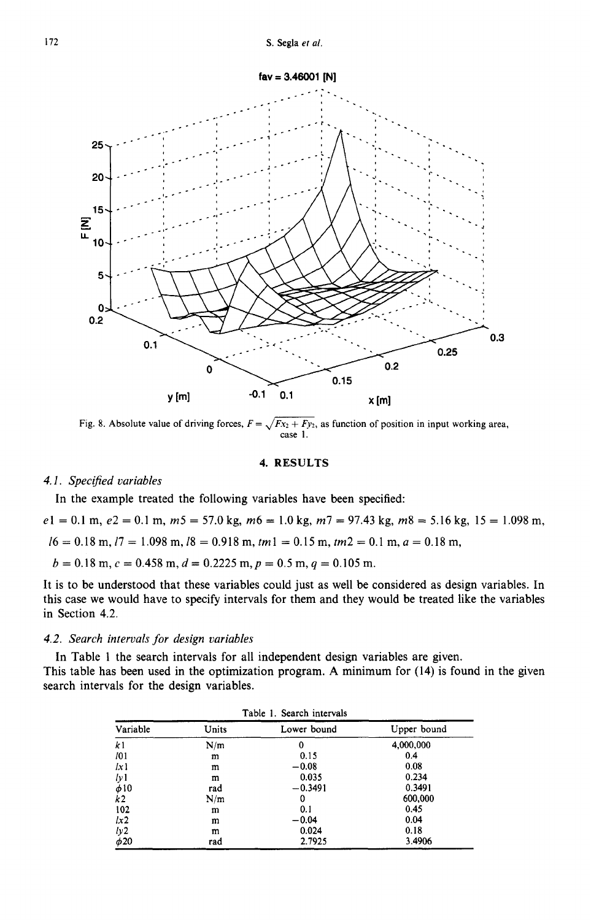

Fig. 8. Absolute value of driving forces,  $F = \sqrt{Fx_2 + Fy_2}$ , as function of position in input working area, case 1.

## 4. RESULTS

## *4. I. Specified variables*

In the example treated the following variables have been specified:

 $e1 = 0.1$  m,  $e2 = 0.1$  m,  $m5 = 57.0$  kg,  $m6 = 1.0$  kg,  $m7 = 97.43$  kg,  $m8 = 5.16$  kg,  $15 = 1.098$  m,  $16 = 0.18$  m,  $17 = 1.098$  m,  $18 = 0.918$  m,  $tm1 = 0.15$  m,  $tm2 = 0.1$  m,  $a = 0.18$  m,

 $b = 0.18$  m,  $c = 0.458$  m,  $d = 0.2225$  m,  $p = 0.5$  m,  $q = 0.105$  m.

It is to be understood that these variables could just as well be considered as design variables. In this case we would have to specify intervals for them and they would be treated like the variables in Section 4.2.

## *4.2. Search intervals for design variables*

In Table 1 the search intervals for all independent design variables are given. This table has been used in the optimization program. A minimum for (14) is found in the given search intervals for the design variables.

| Table 1. Search intervals |       |             |             |  |  |  |  |
|---------------------------|-------|-------------|-------------|--|--|--|--|
| Variable                  | Units | Lower bound | Upper bound |  |  |  |  |
| k <sub>1</sub>            | N/m   | 0           | 4,000,000   |  |  |  |  |
| 101                       | m     | 0.15        | 0.4         |  |  |  |  |
| lx1                       | m     | $-0.08$     | 0.08        |  |  |  |  |
| 1y1                       | m     | 0.035       | 0.234       |  |  |  |  |
| $\phi$ 10                 | rad   | $-0.3491$   | 0.3491      |  |  |  |  |
| k <sub>2</sub>            | N/m   | 0           | 600,000     |  |  |  |  |
| 102                       | m     | 0.1         | 0.45        |  |  |  |  |
| 1x2                       | m     | $-0.04$     | 0.04        |  |  |  |  |
|                           | m     | 0.024       | 0.18        |  |  |  |  |
| $\frac{ly2}{\phi 20}$     | rad   | 2.7925      | 3.4906      |  |  |  |  |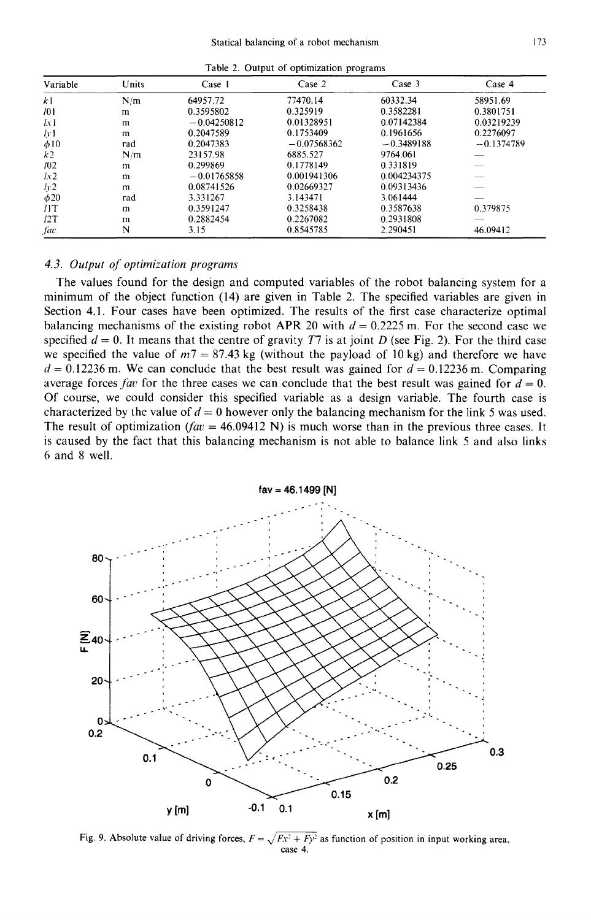| Table 2. Output of optimization programs |       |               |               |              |              |  |  |  |
|------------------------------------------|-------|---------------|---------------|--------------|--------------|--|--|--|
| Variable                                 | Units | Case 1        | Case 2        | Case 3       | Case 4       |  |  |  |
| kl                                       | N/m   | 64957.72      | 77470.14      | 60332.34     | 58951.69     |  |  |  |
| 701                                      | m     | 0.3595802     | 0.325919      | 0.3582281    | 0.3801751    |  |  |  |
| lν1                                      | m     | $-0.04250812$ | 0.01328951    | 0.07142384   | 0.03219239   |  |  |  |
| 44                                       | m     | 0.2047589     | 0.1753409     | 0.1961656    | 0.2276097    |  |  |  |
| φ10                                      | rad   | 0.2047383     | $-0.07568362$ | $-0.3489188$ | $-0.1374789$ |  |  |  |
| k2                                       | N/m   | 23157.98      | 6885.527      | 9764.061     |              |  |  |  |
| 102                                      | m     | 0.299869      | 0.1778149     | 0.331819     |              |  |  |  |
| lx2                                      | m     | $-0.01765858$ | 0.001941306   | 0.004234375  |              |  |  |  |
| Iy2                                      | m     | 0.08741526    | 0.02669327    | 0.09313436   |              |  |  |  |
| $\phi$ 20                                | rad   | 3.331267      | 3.143471      | 3.061444     |              |  |  |  |
| /1T                                      | m     | 0.3591247     | 0.3258438     | 0.3587638    | 0.379875     |  |  |  |

 $/2$ T m  $0.2882454$   $0.2267082$   $0.2931808$   $$ *fax* **N** 3.15 0.8545785 2.290451 46.09412

#### *4.3. Output of optimization programs*

The values found for the design and computed variables of the robot balancing system for a minimum of the object function (14) are given in Table 2. The specified variables are given in Section 4.1. Four cases have been optimized. The results of the first case characterize optimal balancing mechanisms of the existing robot APR 20 with  $d = 0.2225$  m. For the second case we specified  $d = 0$ . It means that the centre of gravity T7 is at joint D (see Fig. 2). For the third case we specified the value of  $m7 = 87.43$  kg (without the payload of 10 kg) and therefore we have  $d = 0.12236$  m. We can conclude that the best result was gained for  $d = 0.12236$  m. Comparing average forces *fav* for the three cases we can conclude that the best result was gained for  $d = 0$ . Of course, we could consider this specified variable as a design variable. The fourth case is characterized by the value of  $d = 0$  however only the balancing mechanism for the link 5 was used. The result of optimization  $f(x) = 46.09412$  N) is much worse than in the previous three cases. It is caused by the fact that this balancing mechanism is not able to balance link 5 and also links 6 and 8 well.



Fig. 9. Absolute value of driving forces,  $F = \sqrt{Fx^2 + Fy^2}$  as function of position in input working area, case 4.